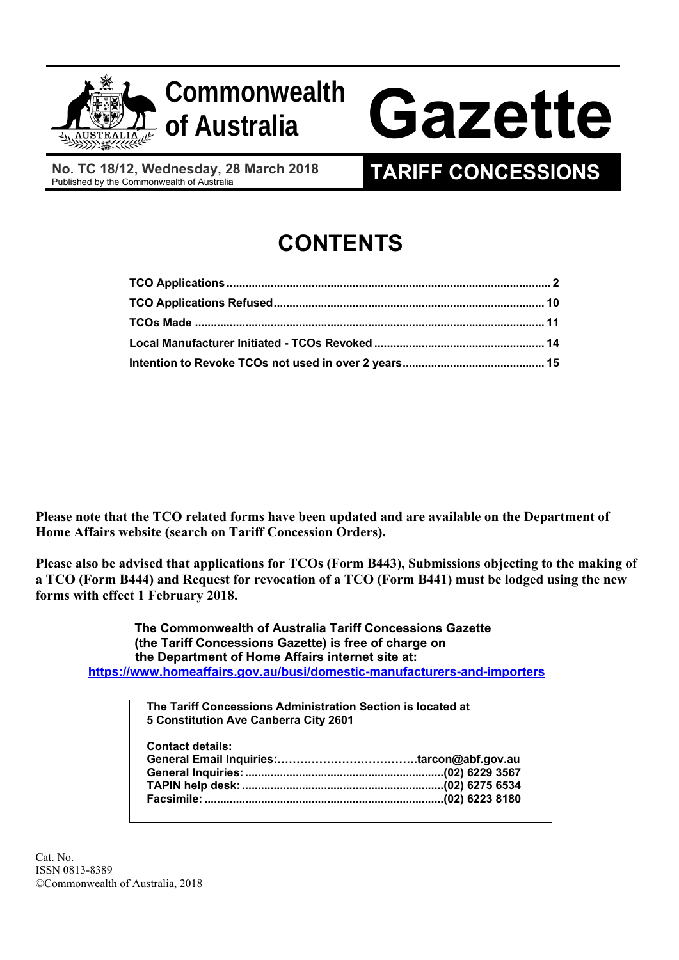

**No. TC 18/12, Wednesday, 28 March 2018** 

# **TARIFF CONCESSIONS**

# **CONTENTS**

**Please note that the TCO related forms have been updated and are available on the Department of Home Affairs website (search on Tariff Concession Orders).** 

**Please also be advised that applications for TCOs (Form B443), Submissions objecting to the making of a TCO (Form B444) and Request for revocation of a TCO (Form B441) must be lodged using the new forms with effect 1 February 2018.** 

 **The Commonwealth of Australia Tariff Concessions Gazette (the Tariff Concessions Gazette) is free of charge on the Department of Home Affairs internet site at: https://www.homeaffairs.gov.au/busi/domestic-manufacturers-and-importers** 

| The Tariff Concessions Administration Section is located at |  |
|-------------------------------------------------------------|--|
| 5 Constitution Ave Canberra City 2601                       |  |
| <b>Contact details:</b>                                     |  |
|                                                             |  |
|                                                             |  |
|                                                             |  |
|                                                             |  |
|                                                             |  |
|                                                             |  |

Cat. No. ISSN 0813-8389 ©Commonwealth of Australia, 2018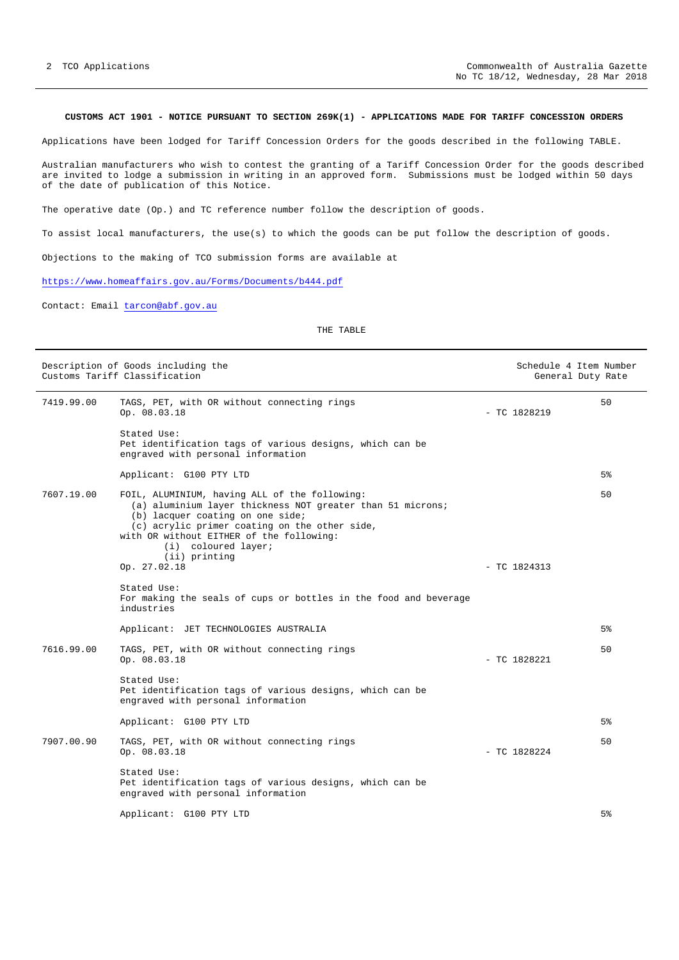# **CUSTOMS ACT 1901 - NOTICE PURSUANT TO SECTION 269K(1) - APPLICATIONS MADE FOR TARIFF CONCESSION ORDERS**

Applications have been lodged for Tariff Concession Orders for the goods described in the following TABLE.

Australian manufacturers who wish to contest the granting of a Tariff Concession Order for the goods described are invited to lodge a submission in writing in an approved form. Submissions must be lodged within 50 days of the date of publication of this Notice.

The operative date (Op.) and TC reference number follow the description of goods.

To assist local manufacturers, the use(s) to which the goods can be put follow the description of goods.

Objections to the making of TCO submission forms are available at

https://www.homeaffairs.gov.au/Forms/Documents/b444.pdf

Contact: Email tarcon@abf.gov.au

THE TABLE

| Description of Goods including the<br>Customs Tariff Classification |                                                                                                                                                                                                                                                                                                      |  |                | Schedule 4 Item Number<br>General Duty Rate |
|---------------------------------------------------------------------|------------------------------------------------------------------------------------------------------------------------------------------------------------------------------------------------------------------------------------------------------------------------------------------------------|--|----------------|---------------------------------------------|
| 7419.99.00                                                          | TAGS, PET, with OR without connecting rings<br>Op. 08.03.18                                                                                                                                                                                                                                          |  | $-$ TC 1828219 | 50                                          |
|                                                                     | Stated Use:<br>Pet identification tags of various designs, which can be<br>engraved with personal information                                                                                                                                                                                        |  |                |                                             |
|                                                                     | Applicant: G100 PTY LTD                                                                                                                                                                                                                                                                              |  |                | 5%                                          |
| 7607.19.00                                                          | FOIL, ALUMINIUM, having ALL of the following:<br>(a) aluminium layer thickness NOT greater than 51 microns;<br>(b) lacquer coating on one side;<br>(c) acrylic primer coating on the other side,<br>with OR without EITHER of the following:<br>(i) coloured layer;<br>(ii) printing<br>Op. 27.02.18 |  | $-$ TC 1824313 | 50                                          |
|                                                                     | Stated Use:<br>For making the seals of cups or bottles in the food and beverage<br>industries                                                                                                                                                                                                        |  |                |                                             |
|                                                                     | Applicant: JET TECHNOLOGIES AUSTRALIA                                                                                                                                                                                                                                                                |  |                | 5%                                          |
| 7616.99.00                                                          | TAGS, PET, with OR without connecting rings<br>Op. 08.03.18                                                                                                                                                                                                                                          |  | $-$ TC 1828221 | 50                                          |
|                                                                     | Stated Use:<br>Pet identification tags of various designs, which can be<br>engraved with personal information                                                                                                                                                                                        |  |                |                                             |
|                                                                     | Applicant: G100 PTY LTD                                                                                                                                                                                                                                                                              |  |                | 5%                                          |
| 7907.00.90                                                          | TAGS, PET, with OR without connecting rings<br>Op. 08.03.18                                                                                                                                                                                                                                          |  | $-$ TC 1828224 | 50                                          |
|                                                                     | Stated Use:<br>Pet identification tags of various designs, which can be<br>engraved with personal information                                                                                                                                                                                        |  |                |                                             |
|                                                                     | Applicant: G100 PTY LTD                                                                                                                                                                                                                                                                              |  |                | 5%                                          |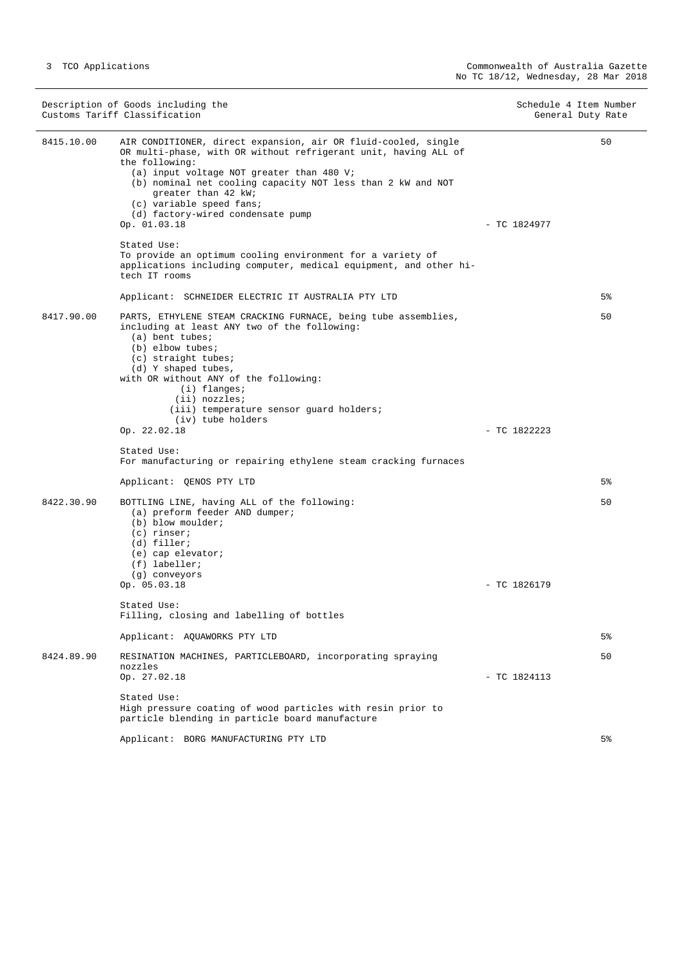|            | Description of Goods including the<br>Customs Tariff Classification                                                                                                                                                                                                                                                                                                     |                | Schedule 4 Item Number<br>General Duty Rate |
|------------|-------------------------------------------------------------------------------------------------------------------------------------------------------------------------------------------------------------------------------------------------------------------------------------------------------------------------------------------------------------------------|----------------|---------------------------------------------|
| 8415.10.00 | AIR CONDITIONER, direct expansion, air OR fluid-cooled, single<br>OR multi-phase, with OR without refrigerant unit, having ALL of<br>the following:<br>(a) input voltage NOT greater than 480 V;<br>(b) nominal net cooling capacity NOT less than 2 kW and NOT<br>greater than 42 kW;<br>(c) variable speed fans;<br>(d) factory-wired condensate pump<br>Op. 01.03.18 | $-$ TC 1824977 | 50                                          |
|            | Stated Use:<br>To provide an optimum cooling environment for a variety of<br>applications including computer, medical equipment, and other hi-<br>tech IT rooms                                                                                                                                                                                                         |                |                                             |
|            | Applicant: SCHNEIDER ELECTRIC IT AUSTRALIA PTY LTD                                                                                                                                                                                                                                                                                                                      |                | 5%                                          |
| 8417.90.00 | PARTS, ETHYLENE STEAM CRACKING FURNACE, being tube assemblies,<br>including at least ANY two of the following:<br>(a) bent tubes;<br>$(b)$ elbow tubes;<br>(c) straight tubes;<br>(d) Y shaped tubes,<br>with OR without ANY of the following:<br>$(i)$ flanges;<br>(ii) nozzles;<br>(iii) temperature sensor guard holders;<br>(iv) tube holders<br>Op. 22.02.18       | $-$ TC 1822223 | 50                                          |
|            |                                                                                                                                                                                                                                                                                                                                                                         |                |                                             |
|            | Stated Use:<br>For manufacturing or repairing ethylene steam cracking furnaces                                                                                                                                                                                                                                                                                          |                |                                             |
|            | Applicant: QENOS PTY LTD                                                                                                                                                                                                                                                                                                                                                |                | 5%                                          |
| 8422.30.90 | BOTTLING LINE, having ALL of the following:<br>(a) preform feeder AND dumper;<br>(b) blow moulder;<br>$(c)$ rinser;<br>(d) filler;<br>(e) cap elevator;<br>$(f)$ labeller;<br>(g) conveyors<br>Op. 05.03.18                                                                                                                                                             | $-$ TC 1826179 | 50                                          |
|            | Stated Use:<br>Filling, closing and labelling of bottles                                                                                                                                                                                                                                                                                                                |                |                                             |
|            | Applicant: AQUAWORKS PTY LTD                                                                                                                                                                                                                                                                                                                                            |                | 5%                                          |
| 8424.89.90 | RESINATION MACHINES, PARTICLEBOARD, incorporating spraying<br>nozzles<br>Op. 27.02.18                                                                                                                                                                                                                                                                                   | $-$ TC 1824113 | 50                                          |
|            | Stated Use:<br>High pressure coating of wood particles with resin prior to<br>particle blending in particle board manufacture                                                                                                                                                                                                                                           |                |                                             |
|            | Applicant: BORG MANUFACTURING PTY LTD                                                                                                                                                                                                                                                                                                                                   |                | 5 <sup>°</sup>                              |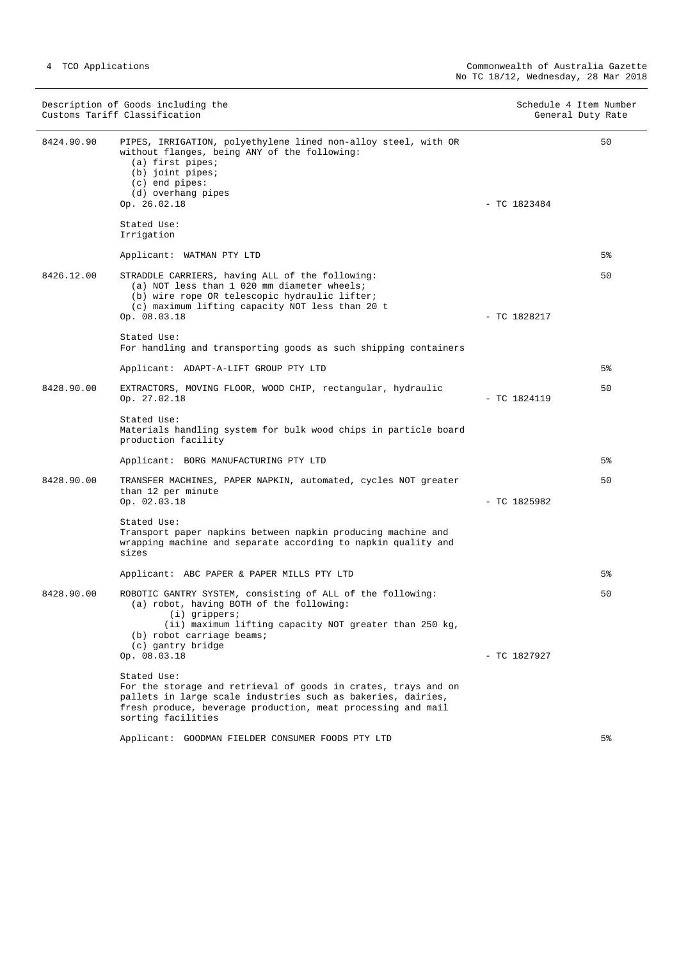|            | Description of Goods including the<br>Customs Tariff Classification                                                                                                                                                                   | Schedule 4 Item Number<br>General Duty Rate |       |
|------------|---------------------------------------------------------------------------------------------------------------------------------------------------------------------------------------------------------------------------------------|---------------------------------------------|-------|
| 8424.90.90 | PIPES, IRRIGATION, polyethylene lined non-alloy steel, with OR<br>without flanges, being ANY of the following:<br>$(a)$ first pipes;<br>$(b)$ joint pipes;<br>$(c)$ end pipes:<br>(d) overhang pipes<br>Op. 26.02.18                  | $-$ TC 1823484                              | 50    |
|            | Stated Use:<br>Irrigation                                                                                                                                                                                                             |                                             |       |
|            | Applicant: WATMAN PTY LTD                                                                                                                                                                                                             |                                             | 5%    |
| 8426.12.00 | STRADDLE CARRIERS, having ALL of the following:<br>(a) NOT less than 1 020 mm diameter wheels;<br>(b) wire rope OR telescopic hydraulic lifter;<br>(c) maximum lifting capacity NOT less than 20 t<br>Op. 08.03.18                    | $-$ TC 1828217                              | 50    |
|            | Stated Use:<br>For handling and transporting goods as such shipping containers                                                                                                                                                        |                                             |       |
|            | Applicant: ADAPT-A-LIFT GROUP PTY LTD                                                                                                                                                                                                 |                                             | $5\%$ |
| 8428.90.00 | EXTRACTORS, MOVING FLOOR, WOOD CHIP, rectangular, hydraulic<br>Op. 27.02.18                                                                                                                                                           | $-$ TC 1824119                              | 50    |
|            | Stated Use:<br>Materials handling system for bulk wood chips in particle board<br>production facility                                                                                                                                 |                                             |       |
|            | Applicant: BORG MANUFACTURING PTY LTD                                                                                                                                                                                                 |                                             | $5\%$ |
| 8428.90.00 | TRANSFER MACHINES, PAPER NAPKIN, automated, cycles NOT greater<br>than 12 per minute<br>Op. 02.03.18                                                                                                                                  | $-$ TC 1825982                              | 50    |
|            | Stated Use:<br>Transport paper napkins between napkin producing machine and<br>wrapping machine and separate according to napkin quality and<br>sizes                                                                                 |                                             |       |
|            | Applicant: ABC PAPER & PAPER MILLS PTY LTD                                                                                                                                                                                            |                                             | $5\%$ |
| 8428.90.00 | ROBOTIC GANTRY SYSTEM, consisting of ALL of the following:<br>(a) robot, having BOTH of the following:<br>$(i)$ grippers;<br>(ii) maximum lifting capacity NOT greater than 250 kg,<br>(b) robot carriage beams;<br>(c) gantry bridge |                                             | 50    |
|            | Op. 08.03.18                                                                                                                                                                                                                          | $-$ TC 1827927                              |       |
|            | Stated Use:<br>For the storage and retrieval of goods in crates, trays and on<br>pallets in large scale industries such as bakeries, dairies,<br>fresh produce, beverage production, meat processing and mail<br>sorting facilities   |                                             |       |
|            | Applicant: GOODMAN FIELDER CONSUMER FOODS PTY LTD                                                                                                                                                                                     |                                             | 5%    |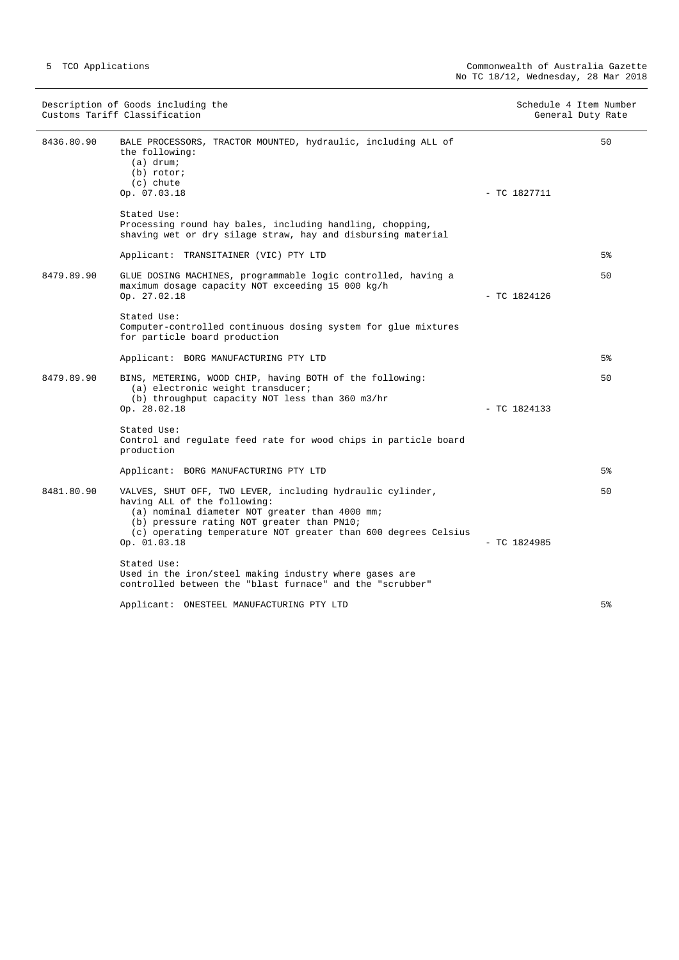|            | Description of Goods including the<br>Customs Tariff Classification                                                                                                                                                                                                          | Schedule 4 Item Number | General Duty Rate |
|------------|------------------------------------------------------------------------------------------------------------------------------------------------------------------------------------------------------------------------------------------------------------------------------|------------------------|-------------------|
| 8436.80.90 | BALE PROCESSORS, TRACTOR MOUNTED, hydraulic, including ALL of<br>the following:<br>$(a)$ drum;<br>$(b)$ rotor;<br>$(c)$ chute                                                                                                                                                |                        | 50                |
|            | Op. 07.03.18                                                                                                                                                                                                                                                                 | $-$ TC 1827711         |                   |
|            | Stated Use:<br>Processing round hay bales, including handling, chopping,<br>shaving wet or dry silage straw, hay and disbursing material                                                                                                                                     |                        |                   |
|            | Applicant: TRANSITAINER (VIC) PTY LTD                                                                                                                                                                                                                                        |                        | 5 <sup>8</sup>    |
| 8479.89.90 | GLUE DOSING MACHINES, programmable logic controlled, having a<br>maximum dosage capacity NOT exceeding 15 000 kg/h<br>Op. 27.02.18                                                                                                                                           | $-$ TC 1824126         | 50                |
|            | Stated Use:<br>Computer-controlled continuous dosing system for glue mixtures<br>for particle board production                                                                                                                                                               |                        |                   |
|            | Applicant: BORG MANUFACTURING PTY LTD                                                                                                                                                                                                                                        |                        | 5%                |
| 8479.89.90 | BINS, METERING, WOOD CHIP, having BOTH of the following:<br>(a) electronic weight transducer;<br>(b) throughput capacity NOT less than 360 m3/hr<br>Op. 28.02.18                                                                                                             | $-$ TC 1824133         | 50                |
|            | Stated Use:<br>Control and regulate feed rate for wood chips in particle board<br>production                                                                                                                                                                                 |                        |                   |
|            | Applicant: BORG MANUFACTURING PTY LTD                                                                                                                                                                                                                                        |                        | 5%                |
| 8481.80.90 | VALVES, SHUT OFF, TWO LEVER, including hydraulic cylinder,<br>having ALL of the following:<br>(a) nominal diameter NOT greater than 4000 mm;<br>(b) pressure rating NOT greater than PN10;<br>(c) operating temperature NOT greater than 600 degrees Celsius<br>Op. 01.03.18 | $-$ TC 1824985         | 50                |
|            | Stated Use:<br>Used in the iron/steel making industry where gases are<br>controlled between the "blast furnace" and the "scrubber"                                                                                                                                           |                        |                   |
|            | Applicant: ONESTEEL MANUFACTURING PTY LTD                                                                                                                                                                                                                                    |                        | 5%                |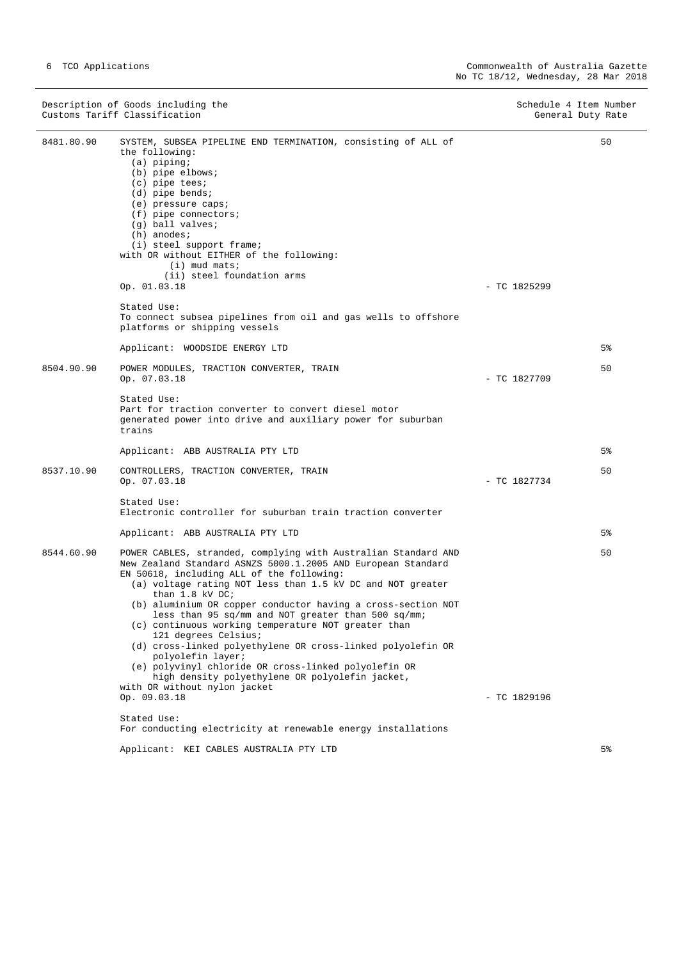|            | Description of Goods including the<br>Customs Tariff Classification                                                                                                                                                                                                                                                                                                                                                                                                                                                                                                                                                                                                                                | Schedule 4 Item Number | General Duty Rate |
|------------|----------------------------------------------------------------------------------------------------------------------------------------------------------------------------------------------------------------------------------------------------------------------------------------------------------------------------------------------------------------------------------------------------------------------------------------------------------------------------------------------------------------------------------------------------------------------------------------------------------------------------------------------------------------------------------------------------|------------------------|-------------------|
| 8481.80.90 | SYSTEM, SUBSEA PIPELINE END TERMINATION, consisting of ALL of<br>the following:<br>$(a)$ piping;<br>(b) pipe elbows;<br>$(c)$ pipe tees;<br>$(d)$ pipe bends;<br>(e) pressure caps;<br>$(f)$ pipe connectors;<br>$(g)$ ball valves;<br>$(h)$ anodes;<br>(i) steel support frame;<br>with OR without EITHER of the following:<br>$(i)$ mud mats;<br>(ii) steel foundation arms<br>Op. 01.03.18<br>Stated Use:<br>To connect subsea pipelines from oil and gas wells to offshore                                                                                                                                                                                                                     | $-$ TC 1825299         | 50                |
|            | platforms or shipping vessels                                                                                                                                                                                                                                                                                                                                                                                                                                                                                                                                                                                                                                                                      |                        |                   |
|            | Applicant: WOODSIDE ENERGY LTD                                                                                                                                                                                                                                                                                                                                                                                                                                                                                                                                                                                                                                                                     |                        | $5\%$             |
| 8504.90.90 | POWER MODULES, TRACTION CONVERTER, TRAIN<br>Op. 07.03.18                                                                                                                                                                                                                                                                                                                                                                                                                                                                                                                                                                                                                                           | $-$ TC 1827709         | 50                |
|            | Stated Use:<br>Part for traction converter to convert diesel motor<br>generated power into drive and auxiliary power for suburban<br>trains                                                                                                                                                                                                                                                                                                                                                                                                                                                                                                                                                        |                        |                   |
|            | Applicant: ABB AUSTRALIA PTY LTD                                                                                                                                                                                                                                                                                                                                                                                                                                                                                                                                                                                                                                                                   |                        | 5%                |
| 8537.10.90 | CONTROLLERS, TRACTION CONVERTER, TRAIN<br>Op. 07.03.18                                                                                                                                                                                                                                                                                                                                                                                                                                                                                                                                                                                                                                             | $-$ TC 1827734         | 50                |
|            | Stated Use:<br>Electronic controller for suburban train traction converter                                                                                                                                                                                                                                                                                                                                                                                                                                                                                                                                                                                                                         |                        |                   |
|            | Applicant: ABB AUSTRALIA PTY LTD                                                                                                                                                                                                                                                                                                                                                                                                                                                                                                                                                                                                                                                                   |                        | $5\%$             |
| 8544.60.90 | POWER CABLES, stranded, complying with Australian Standard AND<br>New Zealand Standard ASNZS 5000.1.2005 AND European Standard<br>EN 50618, including ALL of the following:<br>(a) voltage rating NOT less than 1.5 kV DC and NOT greater<br>than $1.8$ kV DC;<br>(b) aluminium OR copper conductor having a cross-section NOT<br>less than 95 sq/mm and NOT greater than 500 sq/mm;<br>(c) continuous working temperature NOT greater than<br>121 degrees Celsius;<br>(d) cross-linked polyethylene OR cross-linked polyolefin OR<br>polyolefin layer;<br>(e) polyvinyl chloride OR cross-linked polyolefin OR<br>high density polyethylene OR polyolefin jacket,<br>with OR without nylon jacket |                        | 50                |
|            | Op. 09.03.18<br>Stated Use:                                                                                                                                                                                                                                                                                                                                                                                                                                                                                                                                                                                                                                                                        | $-$ TC 1829196         |                   |
|            | For conducting electricity at renewable energy installations                                                                                                                                                                                                                                                                                                                                                                                                                                                                                                                                                                                                                                       |                        |                   |

Applicant: KEI CABLES AUSTRALIA PTY LTD

5%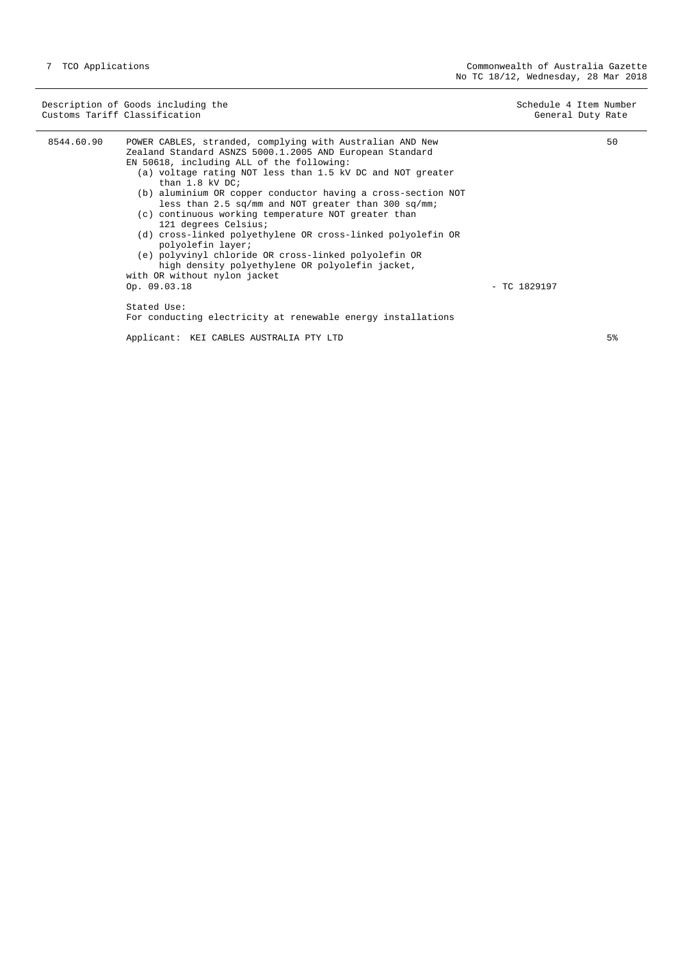|            | Description of Goods including the<br>Customs Tariff Classification                                                                                                                                                                                                                                                                                                                                                                                                                                                                                                                                                                                                                                                       | Schedule 4 Item Number | General Duty Rate |
|------------|---------------------------------------------------------------------------------------------------------------------------------------------------------------------------------------------------------------------------------------------------------------------------------------------------------------------------------------------------------------------------------------------------------------------------------------------------------------------------------------------------------------------------------------------------------------------------------------------------------------------------------------------------------------------------------------------------------------------------|------------------------|-------------------|
| 8544.60.90 | POWER CABLES, stranded, complying with Australian AND New<br>Zealand Standard ASNZS 5000.1.2005 AND European Standard<br>EN 50618, including ALL of the following:<br>(a) voltage rating NOT less than 1.5 kV DC and NOT greater<br>than $1.8$ kV DC;<br>(b) aluminium OR copper conductor having a cross-section NOT<br>less than 2.5 sq/mm and NOT greater than 300 sq/mm;<br>(c) continuous working temperature NOT greater than<br>121 degrees Celsius;<br>(d) cross-linked polyethylene OR cross-linked polyolefin OR<br>polyolefin layer;<br>(e) polyvinyl chloride OR cross-linked polyolefin OR<br>high density polyethylene OR polyolefin jacket,<br>with OR without nylon jacket<br>Op. 09.03.18<br>Stated Use: | $-$ TC 1829197         | 50                |
|            | For conducting electricity at renewable energy installations<br>Applicant: KEI CABLES AUSTRALIA PTY LTD                                                                                                                                                                                                                                                                                                                                                                                                                                                                                                                                                                                                                   |                        | 5%                |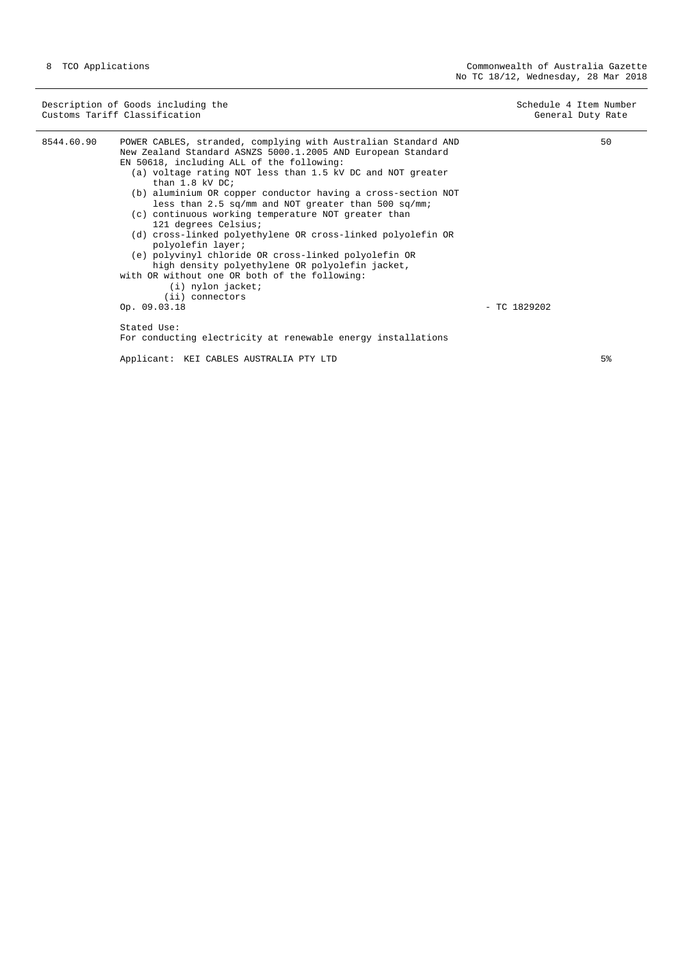Description of Goods including the Schedule 4 Item Number<br>
Customs Tariff Classification (Senetal Duty Rate) Customs Tariff Classification 8544.60.90 POWER CABLES, stranded, complying with Australian Standard AND New Zealand Standard ASNZS 5000.1.2005 AND European Standard EN 50618, including ALL of the following: (a) voltage rating NOT less than 1.5 kV DC and NOT greater than 1.8 kV DC; (b) aluminium OR copper conductor having a cross-section NOT less than 2.5 sq/mm and NOT greater than 500 sq/mm; (c) continuous working temperature NOT greater than 121 degrees Celsius; (d) cross-linked polyethylene OR cross-linked polyolefin OR polyolefin layer; (e) polyvinyl chloride OR cross-linked polyolefin OR high density polyethylene OR polyolefin jacket, with OR without one OR both of the following: (i) nylon jacket;  $(iii)$  connectors<br>Op.  $09.03.18$ - TC 1829202 Stated Use: For conducting electricity at renewable energy installations 50

Applicant: KEI CABLES AUSTRALIA PTY LTD

5%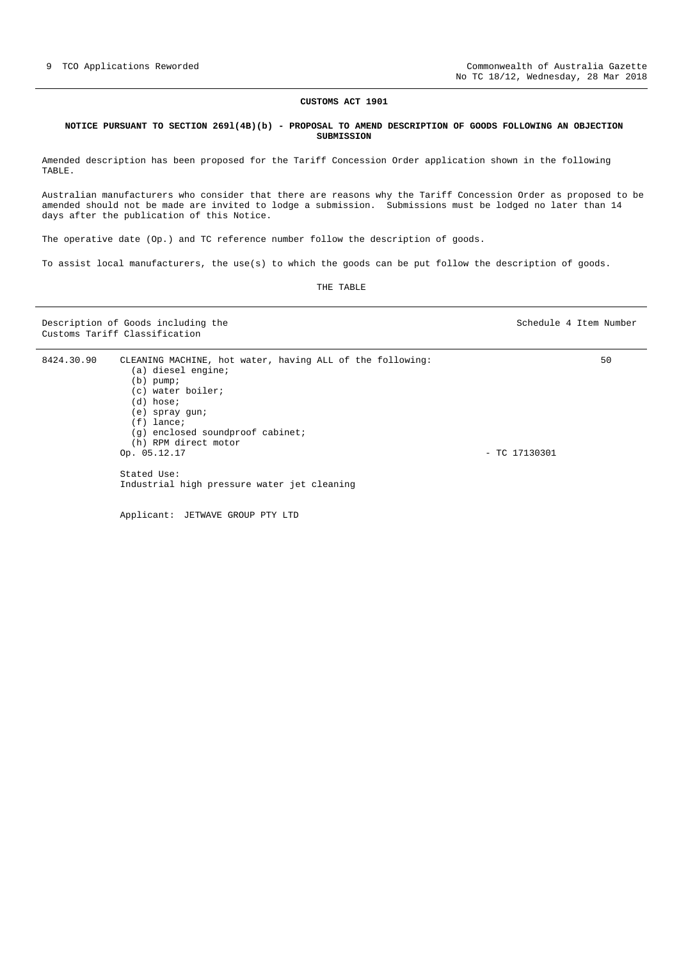#### **CUSTOMS ACT 1901**

#### **NOTICE PURSUANT TO SECTION 269l(4B)(b) - PROPOSAL TO AMEND DESCRIPTION OF GOODS FOLLOWING AN OBJECTION SUBMISSION**

Amended description has been proposed for the Tariff Concession Order application shown in the following TABLE.

Australian manufacturers who consider that there are reasons why the Tariff Concession Order as proposed to be amended should not be made are invited to lodge a submission. Submissions must be lodged no later than 14 days after the publication of this Notice.

The operative date (Op.) and TC reference number follow the description of goods.

To assist local manufacturers, the use(s) to which the goods can be put follow the description of goods.

THE TABLE

Description of Goods including the Schedule 4 Item Number Customs Tariff Classification

 $50$ 

8424.30.90 CLEANING MACHINE, hot water, having ALL of the following: (a) diesel engine; (b) pump; (c) water boiler;  $(d)$  hose; (e) spray gun; (f) lance; (g) enclosed soundproof cabinet; (h) RPM direct motor<br>Op.  $05.12.17$ - TC 17130301 Stated Use: Industrial high pressure water jet cleaning

Applicant: JETWAVE GROUP PTY LTD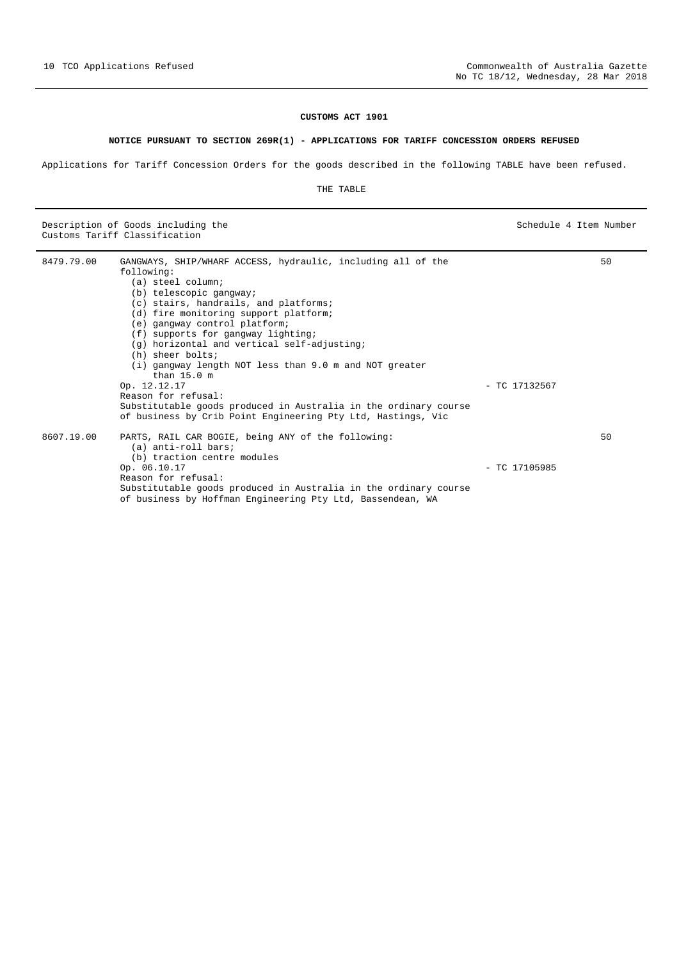# **CUSTOMS ACT 1901**

# **NOTICE PURSUANT TO SECTION 269R(1) - APPLICATIONS FOR TARIFF CONCESSION ORDERS REFUSED**

Applications for Tariff Concession Orders for the goods described in the following TABLE have been refused.

THE TABLE

Description of Goods including the Schedule 4 Item Number (Schedule 4 Item Number 6 Australia) Customs Tariff Classification

| 8479.79.00 | GANGWAYS, SHIP/WHARF ACCESS, hydraulic, including all of the     |                 | 50 |
|------------|------------------------------------------------------------------|-----------------|----|
|            | following:                                                       |                 |    |
|            | (a) steel column;                                                |                 |    |
|            | (b) telescopic gangway;                                          |                 |    |
|            | (c) stairs, handrails, and platforms;                            |                 |    |
|            | (d) fire monitoring support platform;                            |                 |    |
|            | (e) gangway control platform;                                    |                 |    |
|            | (f) supports for gangway lighting;                               |                 |    |
|            | (g) horizontal and vertical self-adjusting;                      |                 |    |
|            | (h) sheer bolts;                                                 |                 |    |
|            | (i) gangway length NOT less than 9.0 m and NOT greater           |                 |    |
|            | than $15.0$ m                                                    |                 |    |
|            | Op. 12.12.17                                                     | $-$ TC 17132567 |    |
|            | Reason for refusal:                                              |                 |    |
|            | Substitutable goods produced in Australia in the ordinary course |                 |    |
|            | of business by Crib Point Engineering Pty Ltd, Hastings, Vic     |                 |    |
| 8607.19.00 | PARTS, RAIL CAR BOGIE, being ANY of the following:               |                 | 50 |
|            | (a) anti-roll bars;                                              |                 |    |
|            | (b) traction centre modules                                      |                 |    |
|            | Op. 06.10.17                                                     | $-$ TC 17105985 |    |
|            | Reason for refusal:                                              |                 |    |
|            | Substitutable goods produced in Australia in the ordinary course |                 |    |
|            | of business by Hoffman Engineering Pty Ltd, Bassendean, WA       |                 |    |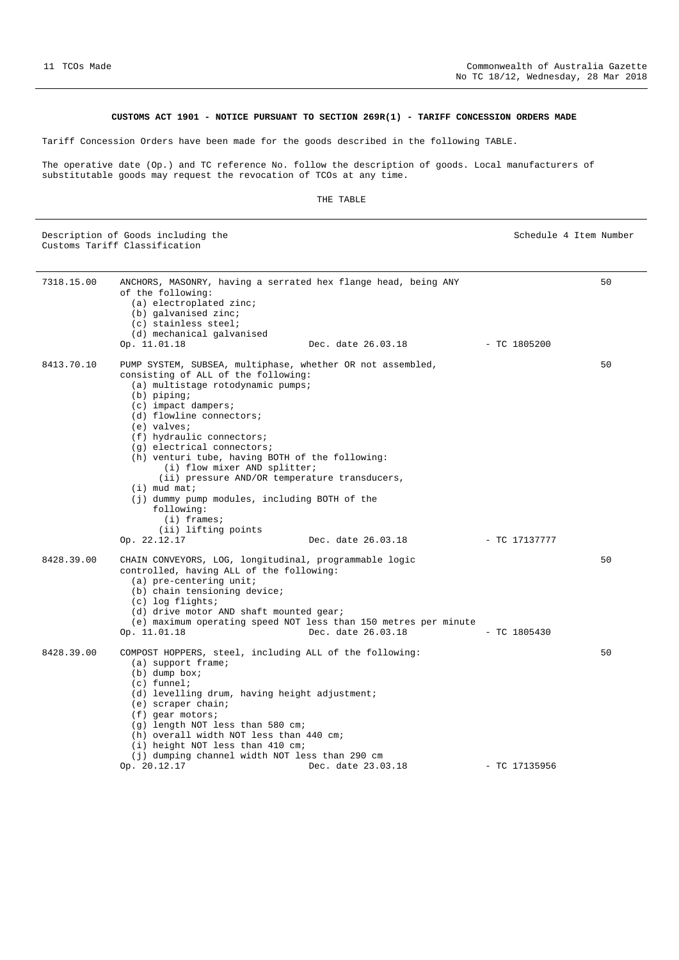# **CUSTOMS ACT 1901 - NOTICE PURSUANT TO SECTION 269R(1) - TARIFF CONCESSION ORDERS MADE**

Tariff Concession Orders have been made for the goods described in the following TABLE.

The operative date (Op.) and TC reference No. follow the description of goods. Local manufacturers of substitutable goods may request the revocation of TCOs at any time.

#### THE TABLE

Description of Goods including the Schedule 4 Item Number Schedule 4 Item Number Customs Tariff Classification

7318.15.00 ANCHORS, MASONRY, having a serrated hex flange head, being ANY of the following: (a) electroplated zinc; (b) galvanised zinc; (c) stainless steel; (d) mechanical galvanised<br>Op. 11.01.18 Dec. date 26.03.18 - TC 1805200 50 8413.70.10 PUMP SYSTEM, SUBSEA, multiphase, whether OR not assembled, consisting of ALL of the following: (a) multistage rotodynamic pumps; (b) piping; (c) impact dampers; (d) flowline connectors; (e) valves; (f) hydraulic connectors; (g) electrical connectors; (h) venturi tube, having BOTH of the following: (i) flow mixer AND splitter; (ii) pressure AND/OR temperature transducers, (i) mud mat; (j) dummy pump modules, including BOTH of the following: (i) frames; (ii) lifting points Op. 22.12.17 Dec. date 26.03.18 - TC 17137777 50 8428.39.00 CHAIN CONVEYORS, LOG, longitudinal, programmable logic controlled, having ALL of the following: (a) pre-centering unit; (b) chain tensioning device; (c) log flights; (d) drive motor AND shaft mounted gear; (e) maximum operating speed NOT less than 150 metres per minute Dec. date  $26.03.18$  - TC 1805430 50 8428.39.00 COMPOST HOPPERS, steel, including ALL of the following: (a) support frame; (b) dump box; (c) funnel; (d) levelling drum, having height adjustment; (e) scraper chain; (f) gear motors; (g) length NOT less than 580 cm; (h) overall width NOT less than 440 cm; (i) height NOT less than 410 cm; (j) dumping channel width NOT less than 290 cm Op. 20.12.17 Dec. date 23.03.18 - TC 17135956 50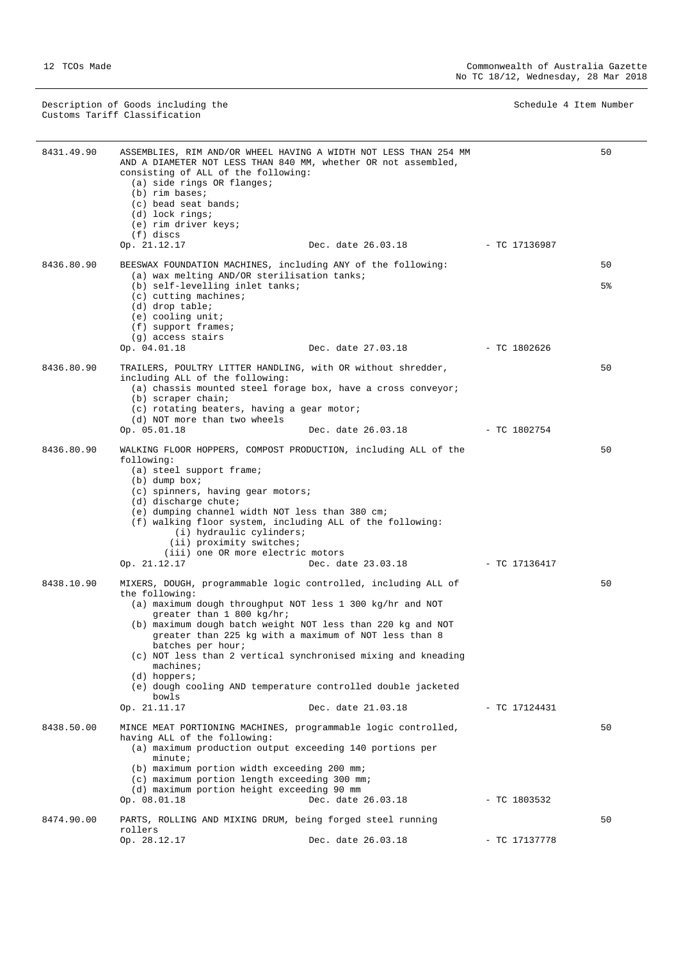Description of Goods including the Schedule 4 Item Number (Schedule 4 Item Number 6 Australia) Customs Tariff Classification

| 8431.49.90 | consisting of ALL of the following:<br>(a) side rings OR flanges;<br>$(b)$ rim bases;<br>(c) bead seat bands;<br>(d) lock rings;<br>(e) rim driver keys;<br>(f) discs                                                                                                                    | ASSEMBLIES, RIM AND/OR WHEEL HAVING A WIDTH NOT LESS THAN 254 MM<br>AND A DIAMETER NOT LESS THAN 840 MM, whether OR not assembled,                                                                                                                                                                                                                                                                         |                | 50       |
|------------|------------------------------------------------------------------------------------------------------------------------------------------------------------------------------------------------------------------------------------------------------------------------------------------|------------------------------------------------------------------------------------------------------------------------------------------------------------------------------------------------------------------------------------------------------------------------------------------------------------------------------------------------------------------------------------------------------------|----------------|----------|
|            | Op. 21.12.17                                                                                                                                                                                                                                                                             | Dec. date 26.03.18                                                                                                                                                                                                                                                                                                                                                                                         | - TC 17136987  |          |
| 8436.80.90 | BEESWAX FOUNDATION MACHINES, including ANY of the following:<br>(a) wax melting AND/OR sterilisation tanks;<br>(b) self-levelling inlet tanks;<br>$(c)$ cutting machines;<br>(d) drop table;<br>$(e)$ cooling unit;<br>(f) support frames;                                               |                                                                                                                                                                                                                                                                                                                                                                                                            |                | 50<br>5% |
|            | (g) access stairs<br>Op. 04.01.18                                                                                                                                                                                                                                                        | Dec. date 27.03.18                                                                                                                                                                                                                                                                                                                                                                                         | $-$ TC 1802626 |          |
|            |                                                                                                                                                                                                                                                                                          |                                                                                                                                                                                                                                                                                                                                                                                                            |                |          |
| 8436.80.90 | TRAILERS, POULTRY LITTER HANDLING, with OR without shredder,<br>including ALL of the following:<br>(b) scraper chain;<br>(c) rotating beaters, having a gear motor;<br>(d) NOT more than two wheels<br>Op. 05.01.18                                                                      | (a) chassis mounted steel forage box, have a cross conveyor;<br>Dec. date 26.03.18                                                                                                                                                                                                                                                                                                                         | - TC 1802754   | 50       |
|            |                                                                                                                                                                                                                                                                                          |                                                                                                                                                                                                                                                                                                                                                                                                            |                |          |
| 8436.80.90 | following:<br>(a) steel support frame;<br>$(b)$ dump box;<br>(c) spinners, having gear motors;<br>$(d)$ discharge chute;<br>(e) dumping channel width NOT less than 380 cm;<br>(i) hydraulic cylinders;<br>(ii) proximity switches;<br>(iii) one OR more electric motors<br>Op. 21.12.17 | WALKING FLOOR HOPPERS, COMPOST PRODUCTION, including ALL of the<br>(f) walking floor system, including ALL of the following:<br>Dec. date 23.03.18                                                                                                                                                                                                                                                         | - TC 17136417  | 50       |
| 8438.10.90 | the following:<br>greater than 1 800 kg/hr;<br>batches per hour;<br>$machine$ s;<br>$(d)$ hoppers;<br>bowls<br>Op. 21.11.17                                                                                                                                                              | MIXERS, DOUGH, programmable logic controlled, including ALL of<br>(a) maximum dough throughput NOT less 1 300 kg/hr and NOT<br>(b) maximum dough batch weight NOT less than 220 kg and NOT<br>greater than 225 kg with a maximum of NOT less than 8<br>(c) NOT less than 2 vertical synchronised mixing and kneading<br>(e) dough cooling AND temperature controlled double jacketed<br>Dec. date 21.03.18 | - TC 17124431  | 50       |
| 8438.50.00 | having ALL of the following:<br>$minute$ ;<br>(b) maximum portion width exceeding 200 mm;<br>(c) maximum portion length exceeding 300 mm;<br>(d) maximum portion height exceeding 90 mm<br>Op. 08.01.18                                                                                  | MINCE MEAT PORTIONING MACHINES, programmable logic controlled,<br>(a) maximum production output exceeding 140 portions per<br>Dec. date 26.03.18                                                                                                                                                                                                                                                           | $-$ TC 1803532 | 50       |
| 8474.90.00 | PARTS, ROLLING AND MIXING DRUM, being forged steel running                                                                                                                                                                                                                               |                                                                                                                                                                                                                                                                                                                                                                                                            |                | 50       |
|            | rollers<br>Op. 28.12.17                                                                                                                                                                                                                                                                  | Dec. date 26.03.18                                                                                                                                                                                                                                                                                                                                                                                         | - TC 17137778  |          |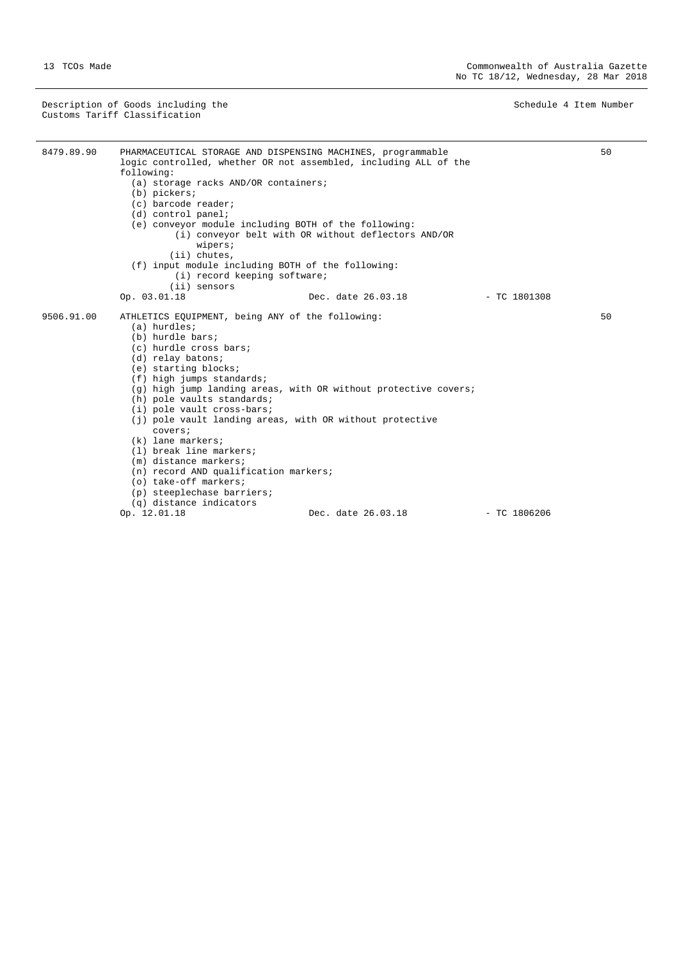Description of Goods including the Schedule 4 Item Number (Schedule 4 Item Number 6 Australia) Customs Tariff Classification

| 8479.89.90 | PHARMACEUTICAL STORAGE AND DISPENSING MACHINES, programmable<br>logic controlled, whether OR not assembled, including ALL of the<br>following:<br>(a) storage racks AND/OR containers;<br>$(b)$ pickers;<br>(c) barcode reader;<br>$(d)$ control panel;<br>(e) conveyor module including BOTH of the following:<br>(i) conveyor belt with OR without deflectors AND/OR<br>wipers;<br>$(i)$ chutes,                                                                                                                                                                                                   |                    |                | 50 |
|------------|------------------------------------------------------------------------------------------------------------------------------------------------------------------------------------------------------------------------------------------------------------------------------------------------------------------------------------------------------------------------------------------------------------------------------------------------------------------------------------------------------------------------------------------------------------------------------------------------------|--------------------|----------------|----|
|            | (f) input module including BOTH of the following:                                                                                                                                                                                                                                                                                                                                                                                                                                                                                                                                                    |                    |                |    |
|            | (i) record keeping software;                                                                                                                                                                                                                                                                                                                                                                                                                                                                                                                                                                         |                    |                |    |
|            | (ii) sensors                                                                                                                                                                                                                                                                                                                                                                                                                                                                                                                                                                                         |                    |                |    |
|            | Op. 03.01.18                                                                                                                                                                                                                                                                                                                                                                                                                                                                                                                                                                                         | Dec. date 26.03.18 | $-$ TC 1801308 |    |
| 9506.91.00 | ATHLETICS EQUIPMENT, being ANY of the following:<br>(a) hurdles;<br>(b) hurdle bars;<br>(c) hurdle cross bars;<br>(d) relay batons;<br>(e) starting blocks;<br>(f) high jumps standards;<br>(q) high jump landing areas, with OR without protective covers;<br>(h) pole vaults standards;<br>(i) pole vault cross-bars;<br>(j) pole vault landing areas, with OR without protective<br>covers;<br>$(k)$ lane markers;<br>(1) break line markers;<br>(m) distance markers;<br>(n) record AND qualification markers;<br>(o) take-off markers;<br>(p) steeplechase barriers;<br>(g) distance indicators |                    |                | 50 |
|            | Op. 12.01.18                                                                                                                                                                                                                                                                                                                                                                                                                                                                                                                                                                                         | Dec. date 26.03.18 | $-$ TC 1806206 |    |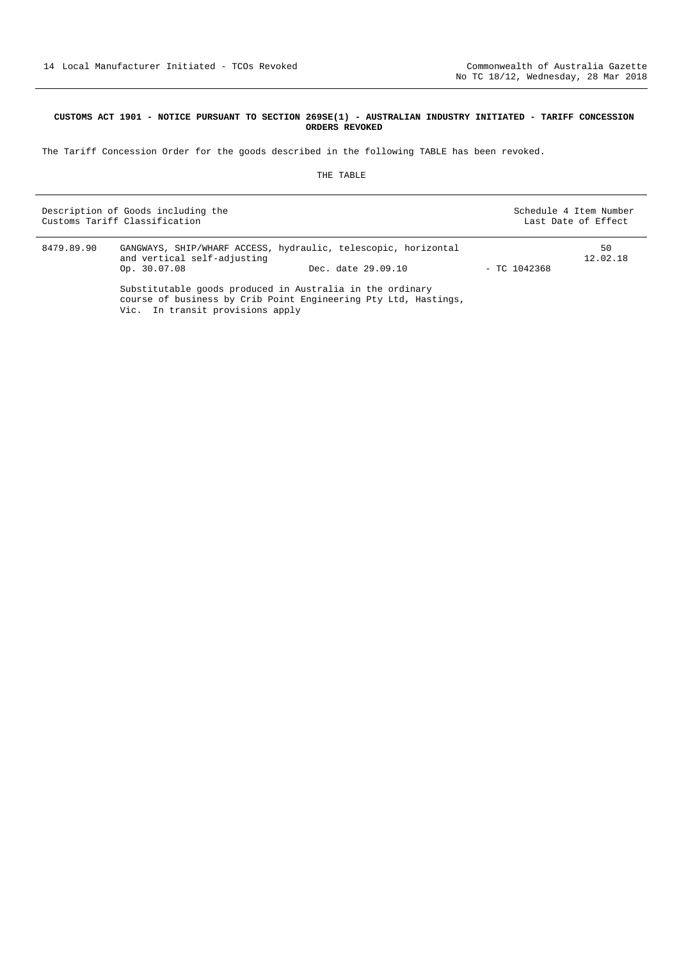#### **CUSTOMS ACT 1901 - NOTICE PURSUANT TO SECTION 269SE(1) - AUSTRALIAN INDUSTRY INITIATED - TARIFF CONCESSION ORDERS REVOKED**

The Tariff Concession Order for the goods described in the following TABLE has been revoked.

#### THE TABLE

|            | Description of Goods including the<br>Customs Tariff Classification                                                          |                    |                | Schedule 4 Item Number<br>Last Date of Effect |
|------------|------------------------------------------------------------------------------------------------------------------------------|--------------------|----------------|-----------------------------------------------|
| 8479.89.90 | GANGWAYS, SHIP/WHARF ACCESS, hydraulic, telescopic, horizontal<br>and vertical self-adjusting<br>Op. 30.07.08                | Dec. date 29.09.10 | $-$ TC 1042368 | 50<br>12.02.18                                |
|            | Substitutable goods produced in Australia in the ordinary<br>course of business by Crib Point Engineering Pty Ltd, Hastings, |                    |                |                                               |

Vic. In transit provisions apply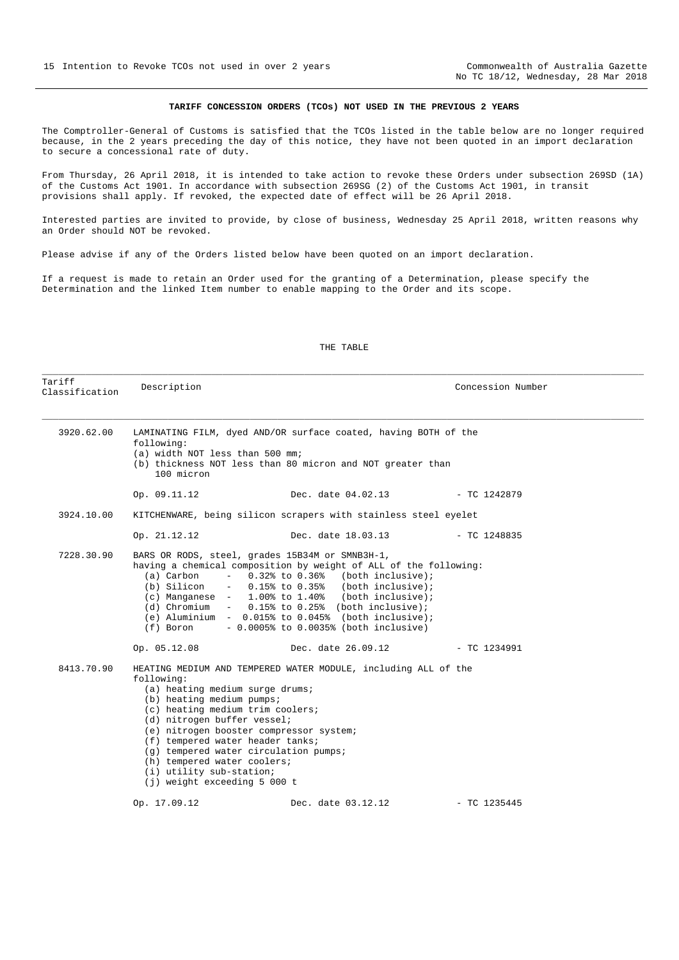# **TARIFF CONCESSION ORDERS (TCOs) NOT USED IN THE PREVIOUS 2 YEARS**

The Comptroller-General of Customs is satisfied that the TCOs listed in the table below are no longer required because, in the 2 years preceding the day of this notice, they have not been quoted in an import declaration to secure a concessional rate of duty.

From Thursday, 26 April 2018, it is intended to take action to revoke these Orders under subsection 269SD (1A) of the Customs Act 1901. In accordance with subsection 269SG (2) of the Customs Act 1901, in transit provisions shall apply. If revoked, the expected date of effect will be 26 April 2018.

Interested parties are invited to provide, by close of business, Wednesday 25 April 2018, written reasons why an Order should NOT be revoked.

Please advise if any of the Orders listed below have been quoted on an import declaration.

If a request is made to retain an Order used for the granting of a Determination, please specify the Determination and the linked Item number to enable mapping to the Order and its scope.

#### THE TABLE

\_\_\_\_\_\_\_\_\_\_\_\_\_\_\_\_\_\_\_\_\_\_\_\_\_\_\_\_\_\_\_\_\_\_\_\_\_\_\_\_\_\_\_\_\_\_\_\_\_\_\_\_\_\_\_\_\_\_\_\_\_\_\_\_\_\_\_\_\_\_\_\_\_\_\_\_\_\_\_\_\_\_\_\_\_\_\_\_\_\_\_\_\_\_\_\_\_\_\_\_\_\_\_\_\_\_\_\_\_\_

| Tariff<br>Classification | Description                                                                                                                                                                                                                                                                                                                                                                                                                        |                                                                                                                                                                                                                                                                                                                                                                                                                                       | Concession Number |  |
|--------------------------|------------------------------------------------------------------------------------------------------------------------------------------------------------------------------------------------------------------------------------------------------------------------------------------------------------------------------------------------------------------------------------------------------------------------------------|---------------------------------------------------------------------------------------------------------------------------------------------------------------------------------------------------------------------------------------------------------------------------------------------------------------------------------------------------------------------------------------------------------------------------------------|-------------------|--|
| 3920.62.00               | LAMINATING FILM, dyed AND/OR surface coated, having BOTH of the<br>following:<br>(a) width NOT less than 500 mm;<br>(b) thickness NOT less than 80 micron and NOT greater than<br>100 micron                                                                                                                                                                                                                                       |                                                                                                                                                                                                                                                                                                                                                                                                                                       |                   |  |
|                          | Op. 09.11.12                                                                                                                                                                                                                                                                                                                                                                                                                       | Dec. date 04.02.13 - TC 1242879                                                                                                                                                                                                                                                                                                                                                                                                       |                   |  |
| 3924.10.00               | KITCHENWARE, being silicon scrapers with stainless steel eyelet                                                                                                                                                                                                                                                                                                                                                                    |                                                                                                                                                                                                                                                                                                                                                                                                                                       |                   |  |
|                          | Op. 21.12.12                                                                                                                                                                                                                                                                                                                                                                                                                       | Dec. date 18.03.13 - TC 1248835                                                                                                                                                                                                                                                                                                                                                                                                       |                   |  |
| 7228.30.90               | (a) Carbon                                                                                                                                                                                                                                                                                                                                                                                                                         | BARS OR RODS, steel, grades 15B34M or SMNB3H-1,<br>having a chemical composition by weight of ALL of the following:<br>$-$ 0.32% to 0.36% (both inclusive);<br>(b) Silicon $-$ 0.15% to 0.35% (both inclusive);<br>(c) Manganese $-1.00$ to $1.40$ (both inclusive);<br>(d) Chromium $-$ 0.15% to 0.25% (both inclusive);<br>(e) Aluminium $-$ 0.015% to 0.045% (both inclusive);<br>$(f)$ Boron $-0.0005$ to 0.0035 (both inclusive) |                   |  |
|                          | Op. 05.12.08                                                                                                                                                                                                                                                                                                                                                                                                                       | Dec. date 26.09.12                                                                                                                                                                                                                                                                                                                                                                                                                    | $-$ TC 1234991    |  |
| 8413.70.90               | HEATING MEDIUM AND TEMPERED WATER MODULE, including ALL of the<br>following:<br>(a) heating medium surge drums;<br>(b) heating medium pumps;<br>(c) heating medium trim coolers;<br>(d) nitrogen buffer vessel;<br>(e) nitrogen booster compressor system;<br>(f) tempered water header tanks;<br>(g) tempered water circulation pumps;<br>(h) tempered water coolers;<br>(i) utility sub-station;<br>(j) weight exceeding 5 000 t |                                                                                                                                                                                                                                                                                                                                                                                                                                       |                   |  |
|                          | Op. 17.09.12                                                                                                                                                                                                                                                                                                                                                                                                                       | Dec. date 03.12.12                                                                                                                                                                                                                                                                                                                                                                                                                    | - TC 1235445      |  |